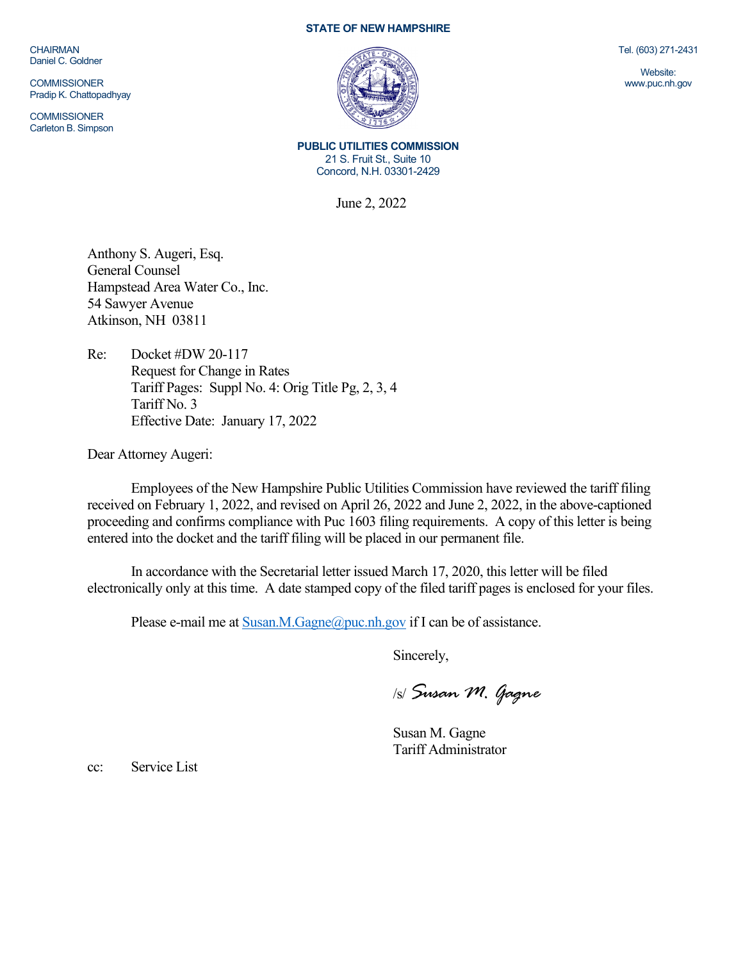CHAIRMAN Daniel C. Goldner

**COMMISSIONER** Pradip K. Chattopadhyay

**COMMISSIONER** Carleton B. Simpson

## **STATE OF NEW HAMPSHIRE**



Tel. (603) 271-2431

Website: www.puc.nh.gov

**PUBLIC UTILITIES COMMISSION** 21 S. Fruit St., Suite 10 Concord, N.H. 03301-2429

June 2, 2022

Anthony S. Augeri, Esq. General Counsel Hampstead Area Water Co., Inc. 54 Sawyer Avenue Atkinson, NH 03811

Re: Docket #DW 20-117 Request for Change in Rates Tariff Pages: Suppl No. 4: Orig Title Pg, 2, 3, 4 Tariff No. 3 Effective Date: January 17, 2022

Dear Attorney Augeri:

Employees of the New Hampshire Public Utilities Commission have reviewed the tariff filing received on February 1, 2022, and revised on April 26, 2022 and June 2, 2022, in the above-captioned proceeding and confirms compliance with Puc 1603 filing requirements. A copy of this letter is being entered into the docket and the tariff filing will be placed in our permanent file.

In accordance with the Secretarial letter issued March 17, 2020, this letter will be filed electronically only at this time. A date stamped copy of the filed tariff pages is enclosed for your files.

Please e-mail me a[t Susan.M.Gagne@puc.nh.gov](mailto:Susan.M.Gagne@puc.nh.gov) if I can be of assistance.

Sincerely,

/s/ *Susan M. Gagne*

Susan M. Gagne Tariff Administrator

cc: Service List